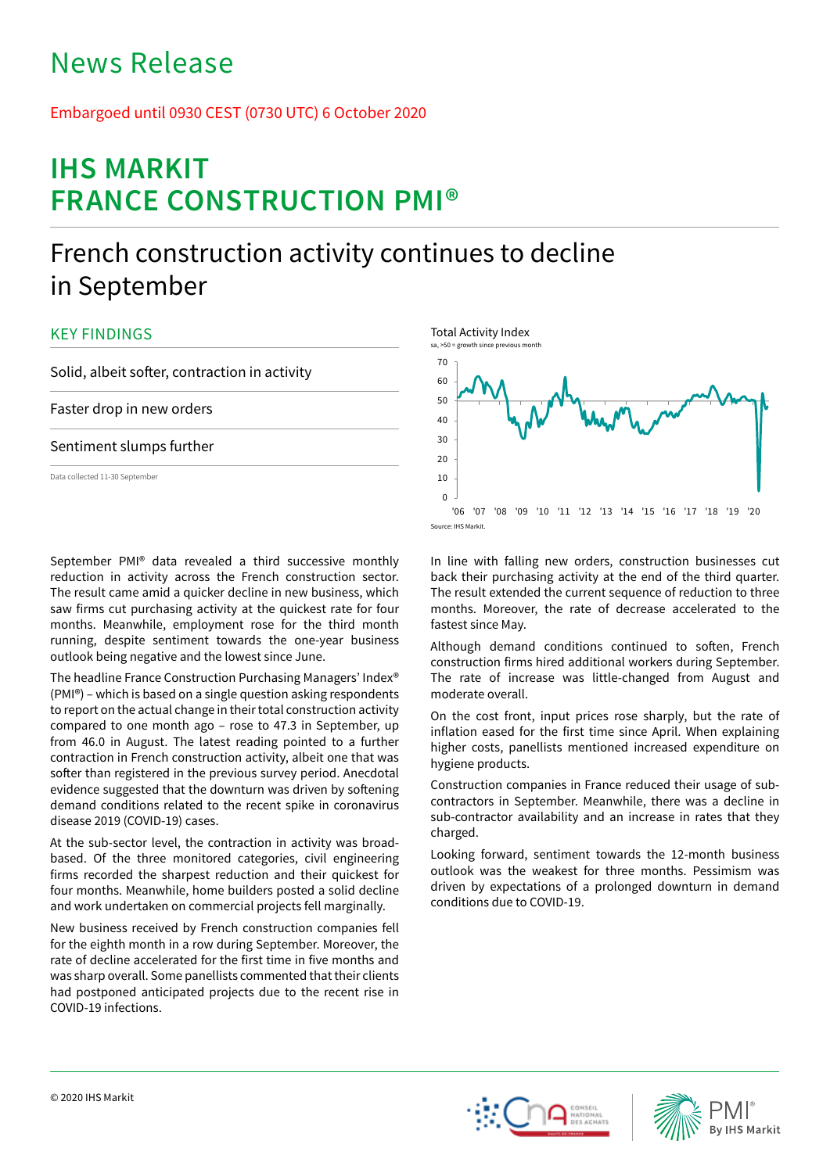# News Release

## Embargoed until 0930 CEST (0730 UTC) 6 October 2020

# **IHS MARKIT FRANCE CONSTRUCTION PMI®**

## French construction activity continues to decline in September

## KEY FINDINGS

Solid, albeit softer, contraction in activity

Faster drop in new orders

### Sentiment slumps further

Data collected 11-30 September

September PMI® data revealed a third successive monthly reduction in activity across the French construction sector. The result came amid a quicker decline in new business, which saw firms cut purchasing activity at the quickest rate for four months. Meanwhile, employment rose for the third month running, despite sentiment towards the one-year business outlook being negative and the lowest since June.

The headline France Construction Purchasing Managers' Index® (PMI®) – which is based on a single question asking respondents to report on the actual change in their total construction activity compared to one month ago – rose to 47.3 in September, up from 46.0 in August. The latest reading pointed to a further contraction in French construction activity, albeit one that was softer than registered in the previous survey period. Anecdotal evidence suggested that the downturn was driven by softening demand conditions related to the recent spike in coronavirus disease 2019 (COVID-19) cases.

At the sub-sector level, the contraction in activity was broadbased. Of the three monitored categories, civil engineering firms recorded the sharpest reduction and their quickest for four months. Meanwhile, home builders posted a solid decline and work undertaken on commercial projects fell marginally.

New business received by French construction companies fell for the eighth month in a row during September. Moreover, the rate of decline accelerated for the first time in five months and was sharp overall. Some panellists commented that their clients had postponed anticipated projects due to the recent rise in COVID-19 infections.



In line with falling new orders, construction businesses cut back their purchasing activity at the end of the third quarter. The result extended the current sequence of reduction to three months. Moreover, the rate of decrease accelerated to the fastest since May.

Although demand conditions continued to soften, French construction firms hired additional workers during September. The rate of increase was little-changed from August and moderate overall.

On the cost front, input prices rose sharply, but the rate of inflation eased for the first time since April. When explaining higher costs, panellists mentioned increased expenditure on hygiene products.

Construction companies in France reduced their usage of subcontractors in September. Meanwhile, there was a decline in sub-contractor availability and an increase in rates that they charged.

Looking forward, sentiment towards the 12-month business outlook was the weakest for three months. Pessimism was driven by expectations of a prolonged downturn in demand conditions due to COVID-19.